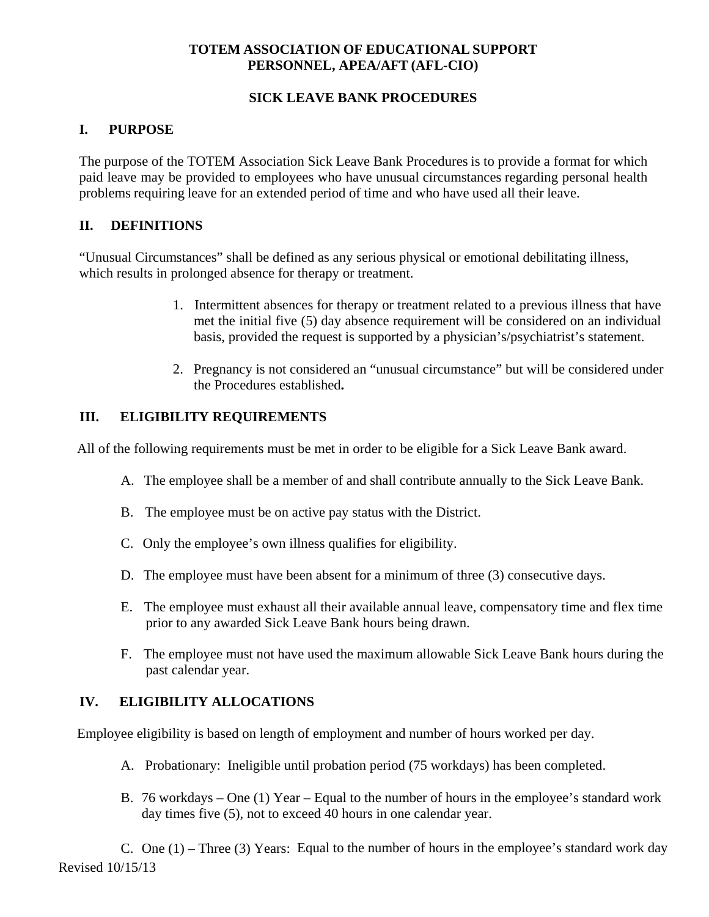#### **TOTEM ASSOCIATION OF EDUCATIONAL SUPPORT PERSONNEL, APEA/AFT (AFL-CIO)**

#### **SICK LEAVE BANK PROCEDURES**

## **I. PURPOSE**

The purpose of the TOTEM Association Sick Leave Bank Procedures is to provide a format for which paid leave may be provided to employees who have unusual circumstances regarding personal health problems requiring leave for an extended period of time and who have used all their leave.

## **II. DEFINITIONS**

"Unusual Circumstances" shall be defined as any serious physical or emotional debilitating illness, which results in prolonged absence for therapy or treatment.

- 1. Intermittent absences for therapy or treatment related to a previous illness that have met the initial five (5) day absence requirement will be considered on an individual basis, provided the request is supported by a physician's/psychiatrist's statement.
- 2. Pregnancy is not considered an "unusual circumstance" but will be considered under the Procedures established**.**

# **III. ELIGIBILITY REQUIREMENTS**

All of the following requirements must be met in order to be eligible for a Sick Leave Bank award.

- A. The employee shall be a member of and shall contribute annually to the Sick Leave Bank.
- B. The employee must be on active pay status with the District.
- C. Only the employee's own illness qualifies for eligibility.
- D. The employee must have been absent for a minimum of three (3) consecutive days.
- E. The employee must exhaust all their available annual leave, compensatory time and flex time prior to any awarded Sick Leave Bank hours being drawn.
- F. The employee must not have used the maximum allowable Sick Leave Bank hours during the past calendar year.

## **IV. ELIGIBILITY ALLOCATIONS**

Employee eligibility is based on length of employment and number of hours worked per day.

- A. Probationary: Ineligible until probation period (75 workdays) has been completed.
- B. 76 workdays One (1) Year Equal to the number of hours in the employee's standard work day times five (5), not to exceed 40 hours in one calendar year.

Revised 10/15/13 C. One (1) – Three (3) Years: Equal to the number of hours in the employee's standard work day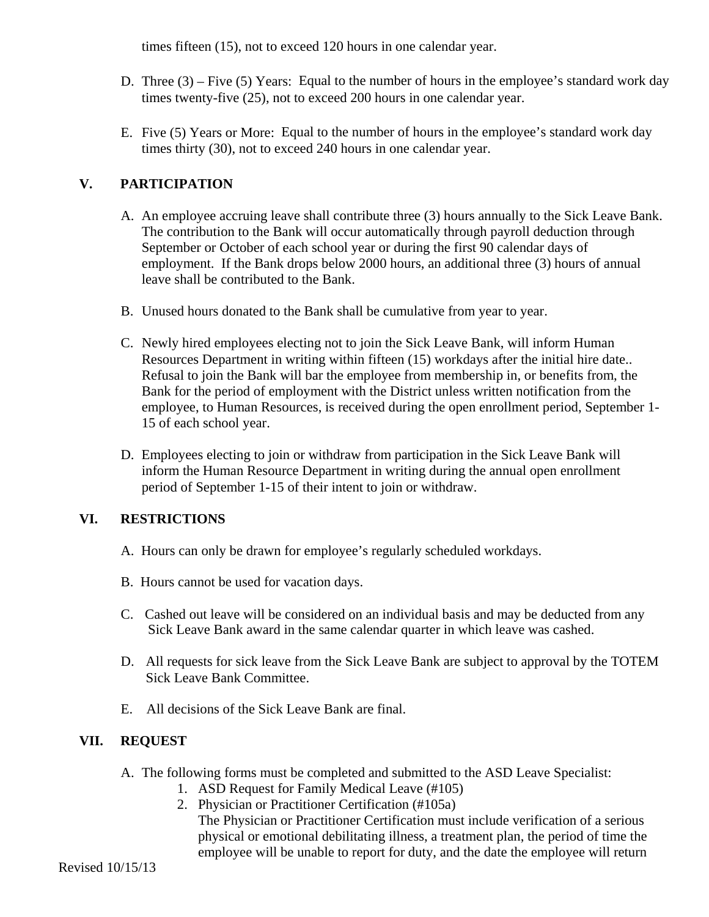times fifteen (15), not to exceed 120 hours in one calendar year.

- D. Three (3) Five (5) Years: Equal to the number of hours in the employee's standard work day times twenty-five (25), not to exceed 200 hours in one calendar year.
- E. Five (5) Years or More: Equal to the number of hours in the employee's standard work day times thirty (30), not to exceed 240 hours in one calendar year.

# **V. PARTICIPATION**

- A. An employee accruing leave shall contribute three (3) hours annually to the Sick Leave Bank. The contribution to the Bank will occur automatically through payroll deduction through September or October of each school year or during the first 90 calendar days of employment. If the Bank drops below 2000 hours, an additional three (3) hours of annual leave shall be contributed to the Bank.
- B. Unused hours donated to the Bank shall be cumulative from year to year.
- C. Newly hired employees electing not to join the Sick Leave Bank, will inform Human Resources Department in writing within fifteen (15) workdays after the initial hire date.. Refusal to join the Bank will bar the employee from membership in, or benefits from, the Bank for the period of employment with the District unless written notification from the employee, to Human Resources, is received during the open enrollment period, September 1- 15 of each school year.
- D. Employees electing to join or withdraw from participation in the Sick Leave Bank will inform the Human Resource Department in writing during the annual open enrollment period of September 1-15 of their intent to join or withdraw.

## **VI. RESTRICTIONS**

- A. Hours can only be drawn for employee's regularly scheduled workdays.
- B. Hours cannot be used for vacation days.
- C. Cashed out leave will be considered on an individual basis and may be deducted from any Sick Leave Bank award in the same calendar quarter in which leave was cashed.
- D. All requests for sick leave from the Sick Leave Bank are subject to approval by the TOTEM Sick Leave Bank Committee.
- E. All decisions of the Sick Leave Bank are final.

## **VII. REQUEST**

- A. The following forms must be completed and submitted to the ASD Leave Specialist:
	- 1. ASD Request for Family Medical Leave (#105)
	- 2. Physician or Practitioner Certification (#105a)

The Physician or Practitioner Certification must include verification of a serious physical or emotional debilitating illness, a treatment plan, the period of time the employee will be unable to report for duty, and the date the employee will return